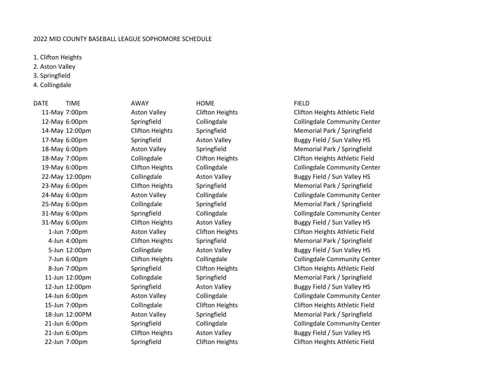## 2022 MID COUNTY BASEBALL LEAGUE SOPHOMORE SCHEDULE

1. Clifton Heights

2. Aston Valley

3. Springfield

4. Collingdale

DATE TIME AWAY HOME FIELD

11-May 7:00pm Aston Valley Clifton Heights Clifton Heights Athletic Field 12-May 6:00pm Springfield Collingdale Collingdale Collingdale Community Center 14-May 12:00pm Clifton Heights Springfield Memorial Park / Springfield 17-May 6:00pm Springfield Aston Valley Aston Valley Buggy Field / Sun Valley HS 18-May 6:00pm Aston Valley Springfield Memorial Park / Springfield 18-May 7:00pm Collingdale Clifton Heights Clifton Heights Athletic Field 19-May 6:00pm Clifton Heights Collingdale Collingdale Community Center 22-May 12:00pm Collingdale Aston Valley Aston Valley Buggy Field / Sun Valley HS 23-May 6:00pm Clifton Heights Springfield Memorial Park / Springfield 24-May 6:00pm Aston Valley Collingdale Collingdale Collingdale Community Center 25-May 6:00pm Collingdale Springfield Memorial Park / Springfield 31-May 6:00pm Springfield Collingdale Collingdale Collingdale Community Center 31-May 6:00pm Clifton Heights Aston Valley Buggy Field / Sun Valley HS 1-Jun 7:00pm Aston Valley Clifton Heights Clifton Heights Athletic Field 4-Jun 4:00pm Clifton Heights Springfield Memorial Park / Springfield 5-Jun 12:00pm Collingdale Aston Valley Aston Valley Buggy Field / Sun Valley HS 7-Jun 6:00pm Clifton Heights Collingdale Collingdale Community Center 8-Jun 7:00pm Springfield Clifton Heights Clifton Heights Athletic Field 11-Jun 12:00pm Collingdale Springfield Memorial Park / Springfield 12-Jun 12:00pm Springfield Aston Valley Buggy Field / Sun Valley HS 14-Jun 6:00pm Aston Valley Collingdale Collingdale Community Center 15-Jun 7:00pm Collingdale Clifton Heights Clifton Heights Athletic Field 18-Jun 12:00PM Aston Valley Springfield Memorial Park / Springfield 21-Jun 6:00pm Springfield Collingdale Collingdale Community Center 21-Jun 6:00pm Clifton Heights Aston Valley Buggy Field / Sun Valley HS 22-Jun 7:00pm Springfield Clifton Heights Clifton Heights Athletic Field